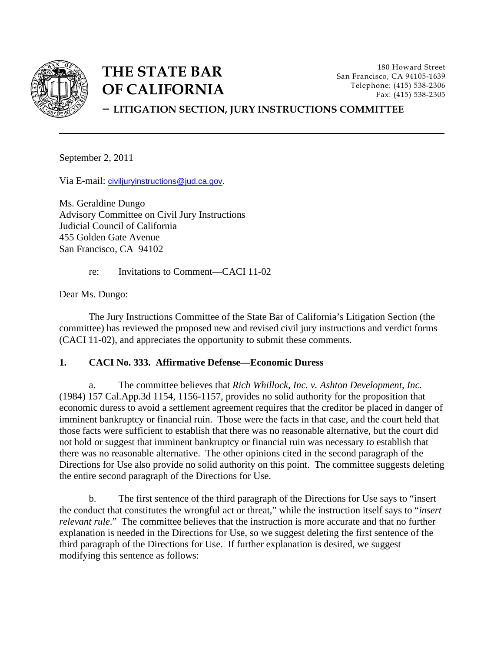

# **THE STATE BAR OF CALIFORNIA**

180 Howard Street San Francisco, CA 94105-1639 Telephone: (415) 538-2306 Fax: (415) 538-2305

## – **LITIGATION SECTION, JURY INSTRUCTIONS COMMITTEE**

September 2, 2011

Via E-mail: [civiljuryinstructions@jud.ca.gov.](mailto:civiljuryinstructions@jud.ca.gov)

Ms. Geraldine Dungo Advisory Committee on Civil Jury Instructions Judicial Council of California 455 Golden Gate Avenue San Francisco, CA 94102

re: Invitations to Comment—CACI 11-02

Dear Ms. Dungo:

The Jury Instructions Committee of the State Bar of California's Litigation Section (the committee) has reviewed the proposed new and revised civil jury instructions and verdict forms (CACI 11-02), and appreciates the opportunity to submit these comments.

## **1. CACI No. 333. Affirmative Defense—Economic Duress**

a. The committee believes that *Rich Whillock, Inc. v. Ashton Development, Inc.* (1984) 157 Cal.App.3d 1154, 1156-1157, provides no solid authority for the proposition that economic duress to avoid a settlement agreement requires that the creditor be placed in danger of imminent bankruptcy or financial ruin. Those were the facts in that case, and the court held that those facts were sufficient to establish that there was no reasonable alternative, but the court did not hold or suggest that imminent bankruptcy or financial ruin was necessary to establish that there was no reasonable alternative. The other opinions cited in the second paragraph of the Directions for Use also provide no solid authority on this point. The committee suggests deleting the entire second paragraph of the Directions for Use.

 b. The first sentence of the third paragraph of the Directions for Use says to "insert the conduct that constitutes the wrongful act or threat," while the instruction itself says to "*insert relevant rule*." The committee believes that the instruction is more accurate and that no further explanation is needed in the Directions for Use, so we suggest deleting the first sentence of the third paragraph of the Directions for Use. If further explanation is desired, we suggest modifying this sentence as follows: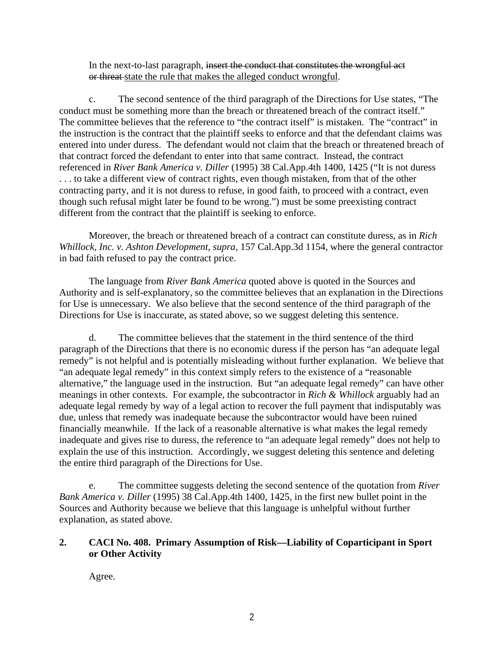In the next-to-last paragraph, insert the conduct that constitutes the wrongful act or threat-state the rule that makes the alleged conduct wrongful.

 c. The second sentence of the third paragraph of the Directions for Use states, "The conduct must be something more than the breach or threatened breach of the contract itself." The committee believes that the reference to "the contract itself" is mistaken. The "contract" in the instruction is the contract that the plaintiff seeks to enforce and that the defendant claims was entered into under duress. The defendant would not claim that the breach or threatened breach of that contract forced the defendant to enter into that same contract. Instead, the contract referenced in *River Bank America v. Diller* (1995) 38 Cal.App.4th 1400, 1425 ("It is not duress . . . to take a different view of contract rights, even though mistaken, from that of the other contracting party, and it is not duress to refuse, in good faith, to proceed with a contract, even though such refusal might later be found to be wrong.") must be some preexisting contract different from the contract that the plaintiff is seeking to enforce.

 Moreover, the breach or threatened breach of a contract can constitute duress, as in *Rich Whillock, Inc. v. Ashton Development*, *supra*, 157 Cal.App.3d 1154, where the general contractor in bad faith refused to pay the contract price.

 The language from *River Bank America* quoted above is quoted in the Sources and Authority and is self-explanatory, so the committee believes that an explanation in the Directions for Use is unnecessary. We also believe that the second sentence of the third paragraph of the Directions for Use is inaccurate, as stated above, so we suggest deleting this sentence.

 d. The committee believes that the statement in the third sentence of the third paragraph of the Directions that there is no economic duress if the person has "an adequate legal remedy" is not helpful and is potentially misleading without further explanation. We believe that "an adequate legal remedy" in this context simply refers to the existence of a "reasonable alternative," the language used in the instruction. But "an adequate legal remedy" can have other meanings in other contexts. For example, the subcontractor in *Rich & Whillock* arguably had an adequate legal remedy by way of a legal action to recover the full payment that indisputably was due, unless that remedy was inadequate because the subcontractor would have been ruined financially meanwhile. If the lack of a reasonable alternative is what makes the legal remedy inadequate and gives rise to duress, the reference to "an adequate legal remedy" does not help to explain the use of this instruction. Accordingly, we suggest deleting this sentence and deleting the entire third paragraph of the Directions for Use.

 e. The committee suggests deleting the second sentence of the quotation from *River Bank America v. Diller* (1995) 38 Cal.App.4th 1400, 1425, in the first new bullet point in the Sources and Authority because we believe that this language is unhelpful without further explanation, as stated above.

## **2. CACI No. 408. Primary Assumption of Risk—Liability of Coparticipant in Sport or Other Activity**

Agree.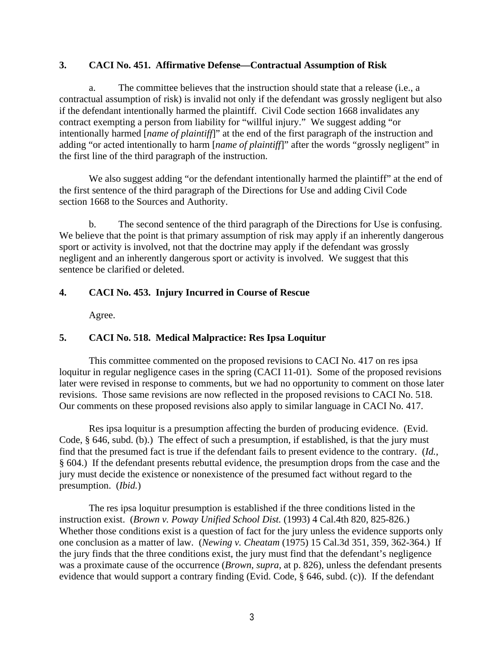#### **3. CACI No. 451. Affirmative Defense—Contractual Assumption of Risk**

a. The committee believes that the instruction should state that a release (i.e., a contractual assumption of risk) is invalid not only if the defendant was grossly negligent but also if the defendant intentionally harmed the plaintiff. Civil Code section 1668 invalidates any contract exempting a person from liability for "willful injury." We suggest adding "or intentionally harmed [*name of plaintiff*]" at the end of the first paragraph of the instruction and adding "or acted intentionally to harm [*name of plaintiff*]" after the words "grossly negligent" in the first line of the third paragraph of the instruction.

We also suggest adding "or the defendant intentionally harmed the plaintiff" at the end of the first sentence of the third paragraph of the Directions for Use and adding Civil Code section 1668 to the Sources and Authority.

 b. The second sentence of the third paragraph of the Directions for Use is confusing. We believe that the point is that primary assumption of risk may apply if an inherently dangerous sport or activity is involved, not that the doctrine may apply if the defendant was grossly negligent and an inherently dangerous sport or activity is involved. We suggest that this sentence be clarified or deleted.

## **4. CACI No. 453. Injury Incurred in Course of Rescue**

Agree.

## **5. CACI No. 518. Medical Malpractice: Res Ipsa Loquitur**

This committee commented on the proposed revisions to CACI No. 417 on res ipsa loquitur in regular negligence cases in the spring (CACI 11-01). Some of the proposed revisions later were revised in response to comments, but we had no opportunity to comment on those later revisions. Those same revisions are now reflected in the proposed revisions to CACI No. 518. Our comments on these proposed revisions also apply to similar language in CACI No. 417.

 Res ipsa loquitur is a presumption affecting the burden of producing evidence. (Evid. Code, § 646, subd. (b).) The effect of such a presumption, if established, is that the jury must find that the presumed fact is true if the defendant fails to present evidence to the contrary. (*Id.*, § 604.) If the defendant presents rebuttal evidence, the presumption drops from the case and the jury must decide the existence or nonexistence of the presumed fact without regard to the presumption. (*Ibid.*)

 The res ipsa loquitur presumption is established if the three conditions listed in the instruction exist. (*Brown v. Poway Unified School Dist.* (1993) 4 Cal.4th 820, 825-826.) Whether those conditions exist is a question of fact for the jury unless the evidence supports only one conclusion as a matter of law. (*Newing v. Cheatam* (1975) 15 Cal.3d 351, 359, 362-364.) If the jury finds that the three conditions exist, the jury must find that the defendant's negligence was a proximate cause of the occurrence (*Brown*, *supra*, at p. 826), unless the defendant presents evidence that would support a contrary finding (Evid. Code, § 646, subd. (c)). If the defendant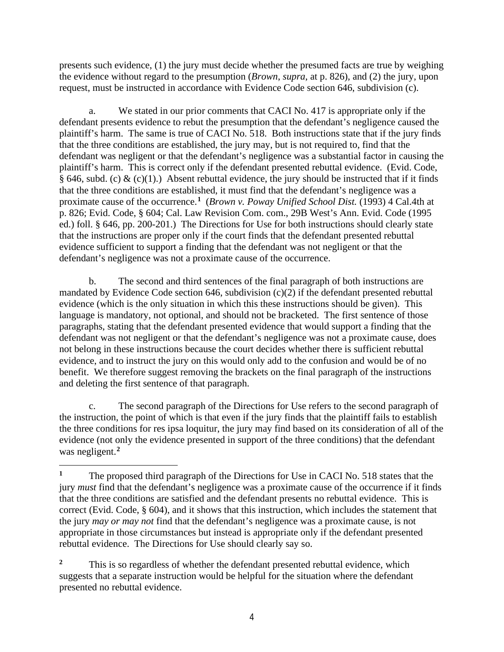presents such evidence, (1) the jury must decide whether the presumed facts are true by weighing the evidence without regard to the presumption (*Brown*, *supra*, at p. 826), and (2) the jury, upon request, must be instructed in accordance with Evidence Code section 646, subdivision (c).

a. We stated in our prior comments that CACI No. 417 is appropriate only if the defendant presents evidence to rebut the presumption that the defendant's negligence caused the plaintiff's harm. The same is true of CACI No. 518. Both instructions state that if the jury finds that the three conditions are established, the jury may, but is not required to, find that the defendant was negligent or that the defendant's negligence was a substantial factor in causing the plaintiff's harm. This is correct only if the defendant presented rebuttal evidence. (Evid. Code, § 646, subd. (c) & (c)(1).) Absent rebuttal evidence, the jury should be instructed that if it finds that the three conditions are established, it must find that the defendant's negligence was a proximate cause of the occurrence.**[1](#page-3-0)** (*Brown v. Poway Unified School Dist.* (1993) 4 Cal.4th at p. 826; Evid. Code, § 604; Cal. Law Revision Com. com., 29B West's Ann. Evid. Code (1995 ed.) foll. § 646, pp. 200-201.) The Directions for Use for both instructions should clearly state that the instructions are proper only if the court finds that the defendant presented rebuttal evidence sufficient to support a finding that the defendant was not negligent or that the defendant's negligence was not a proximate cause of the occurrence.

 b. The second and third sentences of the final paragraph of both instructions are mandated by Evidence Code section 646, subdivision (c)(2) if the defendant presented rebuttal evidence (which is the only situation in which this these instructions should be given). This language is mandatory, not optional, and should not be bracketed. The first sentence of those paragraphs, stating that the defendant presented evidence that would support a finding that the defendant was not negligent or that the defendant's negligence was not a proximate cause, does not belong in these instructions because the court decides whether there is sufficient rebuttal evidence, and to instruct the jury on this would only add to the confusion and would be of no benefit. We therefore suggest removing the brackets on the final paragraph of the instructions and deleting the first sentence of that paragraph.

c. The second paragraph of the Directions for Use refers to the second paragraph of the instruction, the point of which is that even if the jury finds that the plaintiff fails to establish the three conditions for res ipsa loquitur, the jury may find based on its consideration of all of the evidence (not only the evidence presented in support of the three conditions) that the defendant was negligent.**[2](#page-3-1)**

<span id="page-3-0"></span><sup>&</sup>lt;sup>1</sup> The proposed third paragraph of the Directions for Use in CACI No. 518 states that the jury *must* find that the defendant's negligence was a proximate cause of the occurrence if it finds that the three conditions are satisfied and the defendant presents no rebuttal evidence. This is correct (Evid. Code, § 604), and it shows that this instruction, which includes the statement that the jury *may or may not* find that the defendant's negligence was a proximate cause, is not appropriate in those circumstances but instead is appropriate only if the defendant presented rebuttal evidence. The Directions for Use should clearly say so.

<span id="page-3-1"></span><sup>&</sup>lt;sup>2</sup> This is so regardless of whether the defendant presented rebuttal evidence, which suggests that a separate instruction would be helpful for the situation where the defendant presented no rebuttal evidence.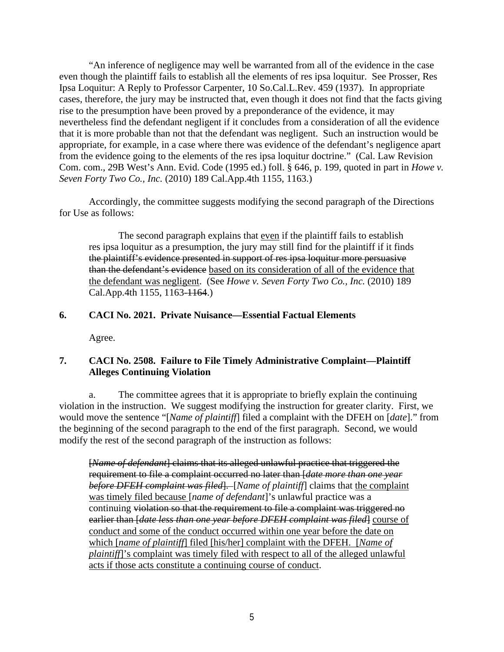"An inference of negligence may well be warranted from all of the evidence in the case even though the plaintiff fails to establish all the elements of res ipsa loquitur. See Prosser, Res Ipsa Loquitur: A Reply to Professor Carpenter, 10 So.Cal.L.Rev. 459 (1937). In appropriate cases, therefore, the jury may be instructed that, even though it does not find that the facts giving rise to the presumption have been proved by a preponderance of the evidence, it may nevertheless find the defendant negligent if it concludes from a consideration of all the evidence that it is more probable than not that the defendant was negligent. Such an instruction would be appropriate, for example, in a case where there was evidence of the defendant's negligence apart from the evidence going to the elements of the res ipsa loquitur doctrine." (Cal. Law Revision Com. com., 29B West's Ann. Evid. Code (1995 ed.) foll. § 646, p. 199, quoted in part in *Howe v. Seven Forty Two Co., Inc.* (2010) 189 Cal.App.4th 1155, 1163.)

Accordingly, the committee suggests modifying the second paragraph of the Directions for Use as follows:

The second paragraph explains that even if the plaintiff fails to establish res ipsa loquitur as a presumption, the jury may still find for the plaintiff if it finds the plaintiff's evidence presented in support of res ipsa loquitur more persuasive than the defendant's evidence based on its consideration of all of the evidence that the defendant was negligent. (See *Howe v. Seven Forty Two Co., Inc.* (2010) 189 Cal.App.4th 1155, 1163-1164.)

#### **6. CACI No. 2021. Private Nuisance—Essential Factual Elements**

Agree.

## **7. CACI No. 2508. Failure to File Timely Administrative Complaint—Plaintiff Alleges Continuing Violation**

a. The committee agrees that it is appropriate to briefly explain the continuing violation in the instruction. We suggest modifying the instruction for greater clarity. First, we would move the sentence "[*Name of plaintiff*] filed a complaint with the DFEH on [*date*]." from the beginning of the second paragraph to the end of the first paragraph. Second, we would modify the rest of the second paragraph of the instruction as follows:

[*Name of defendant*] claims that its alleged unlawful practice that triggered the requirement to file a complaint occurred no later than [*date more than one year before DFEH complaint was filed*]. [*Name of plaintiff*] claims that the complaint was timely filed because [*name of defendant*]'s unlawful practice was a continuing violation so that the requirement to file a complaint was triggered no earlier than [*date less than one year before DFEH complaint was filed*] course of conduct and some of the conduct occurred within one year before the date on which [*name of plaintiff*] filed [his/her] complaint with the DFEH. [*Name of plaintiff*]'s complaint was timely filed with respect to all of the alleged unlawful acts if those acts constitute a continuing course of conduct.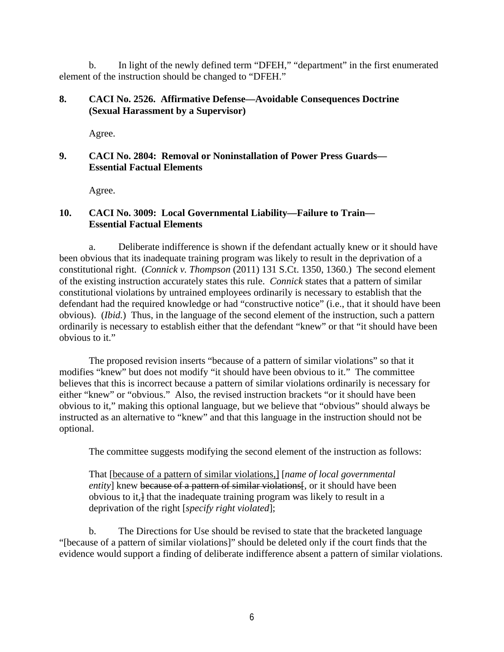b. In light of the newly defined term "DFEH," "department" in the first enumerated element of the instruction should be changed to "DFEH."

#### **8. CACI No. 2526. Affirmative Defense—Avoidable Consequences Doctrine (Sexual Harassment by a Supervisor)**

Agree.

## **9. CACI No. 2804: Removal or Noninstallation of Power Press Guards— Essential Factual Elements**

Agree.

## **10. CACI No. 3009: Local Governmental Liability—Failure to Train— Essential Factual Elements**

a. Deliberate indifference is shown if the defendant actually knew or it should have been obvious that its inadequate training program was likely to result in the deprivation of a constitutional right. (*Connick v. Thompson* (2011) 131 S.Ct. 1350, 1360.) The second element of the existing instruction accurately states this rule. *Connick* states that a pattern of similar constitutional violations by untrained employees ordinarily is necessary to establish that the defendant had the required knowledge or had "constructive notice" (i.e., that it should have been obvious). (*Ibid.*) Thus, in the language of the second element of the instruction, such a pattern ordinarily is necessary to establish either that the defendant "knew" or that "it should have been obvious to it."

The proposed revision inserts "because of a pattern of similar violations" so that it modifies "knew" but does not modify "it should have been obvious to it." The committee believes that this is incorrect because a pattern of similar violations ordinarily is necessary for either "knew" or "obvious." Also, the revised instruction brackets "or it should have been obvious to it," making this optional language, but we believe that "obvious" should always be instructed as an alternative to "knew" and that this language in the instruction should not be optional.

The committee suggests modifying the second element of the instruction as follows:

That [because of a pattern of similar violations,] [*name of local governmental entity*] knew because of a pattern of similar violations. Full, or it should have been obvious to it,] that the inadequate training program was likely to result in a deprivation of the right [*specify right violated*];

 b. The Directions for Use should be revised to state that the bracketed language "[because of a pattern of similar violations]" should be deleted only if the court finds that the evidence would support a finding of deliberate indifference absent a pattern of similar violations.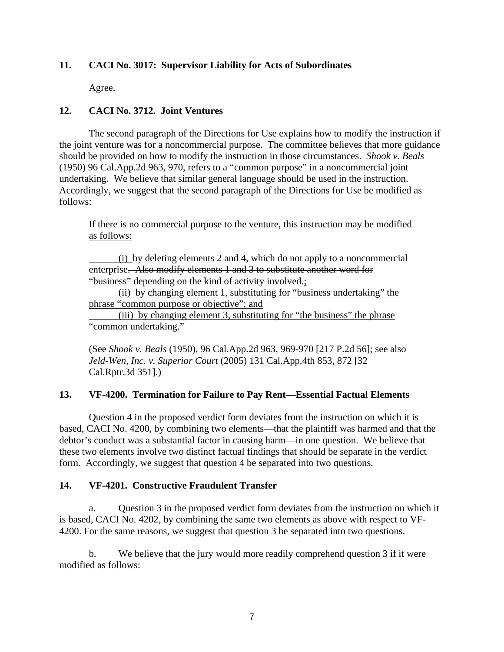## **11. CACI No. 3017: Supervisor Liability for Acts of Subordinates**

Agree.

## **12. CACI No. 3712. Joint Ventures**

 The second paragraph of the Directions for Use explains how to modify the instruction if the joint venture was for a noncommercial purpose. The committee believes that more guidance should be provided on how to modify the instruction in those circumstances. *Shook v. Beals* (1950) 96 Cal.App.2d 963, 970, refers to a "common purpose" in a noncommercial joint undertaking. We believe that similar general language should be used in the instruction. Accordingly, we suggest that the second paragraph of the Directions for Use be modified as follows:

If there is no commercial purpose to the venture, this instruction may be modified as follows:

(i) by deleting elements 2 and 4, which do not apply to a noncommercial enterprise. Also modify elements 1 and 3 to substitute another word for "business" depending on the kind of activity involved.;

 (ii) by changing element 1, substituting for "business undertaking" the phrase "common purpose or objective"; and

 (iii) by changing element 3, substituting for "the business" the phrase "common undertaking."

(See *Shook v. Beals* (1950), 96 Cal.App.2d 963, 969-970 [217 P.2d 56]; see also *Jeld-Wen, Inc. v. Superior Court* (2005) 131 Cal.App.4th 853, 872 [32 Cal.Rptr.3d 351].)

#### **13. VF-4200. Termination for Failure to Pay Rent—Essential Factual Elements**

 Question 4 in the proposed verdict form deviates from the instruction on which it is based, CACI No. 4200, by combining two elements—that the plaintiff was harmed and that the debtor's conduct was a substantial factor in causing harm—in one question. We believe that these two elements involve two distinct factual findings that should be separate in the verdict form. Accordingly, we suggest that question 4 be separated into two questions.

#### **14. VF-4201. Constructive Fraudulent Transfer**

a. Question 3 in the proposed verdict form deviates from the instruction on which it is based, CACI No. 4202, by combining the same two elements as above with respect to VF-4200. For the same reasons, we suggest that question 3 be separated into two questions.

 b. We believe that the jury would more readily comprehend question 3 if it were modified as follows: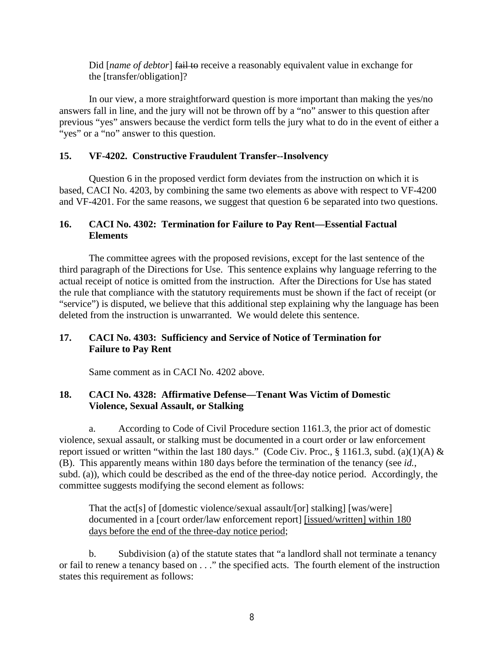Did [name of debtor] fail to receive a reasonably equivalent value in exchange for the [transfer/obligation]?

 In our view, a more straightforward question is more important than making the yes/no answers fall in line, and the jury will not be thrown off by a "no" answer to this question after previous "yes" answers because the verdict form tells the jury what to do in the event of either a "yes" or a "no" answer to this question.

#### **15. VF-4202. Constructive Fraudulent Transfer--Insolvency**

 Question 6 in the proposed verdict form deviates from the instruction on which it is based, CACI No. 4203, by combining the same two elements as above with respect to VF-4200 and VF-4201. For the same reasons, we suggest that question 6 be separated into two questions.

#### **16. CACI No. 4302: Termination for Failure to Pay Rent—Essential Factual Elements**

The committee agrees with the proposed revisions, except for the last sentence of the third paragraph of the Directions for Use. This sentence explains why language referring to the actual receipt of notice is omitted from the instruction. After the Directions for Use has stated the rule that compliance with the statutory requirements must be shown if the fact of receipt (or "service") is disputed, we believe that this additional step explaining why the language has been deleted from the instruction is unwarranted. We would delete this sentence.

## **17. CACI No. 4303: Sufficiency and Service of Notice of Termination for Failure to Pay Rent**

Same comment as in CACI No. 4202 above.

## **18. CACI No. 4328: Affirmative Defense—Tenant Was Victim of Domestic Violence, Sexual Assault, or Stalking**

a. According to Code of Civil Procedure section 1161.3, the prior act of domestic violence, sexual assault, or stalking must be documented in a court order or law enforcement report issued or written "within the last 180 days." (Code Civ. Proc., § 1161.3, subd. (a)(1)(A) & (B). This apparently means within 180 days before the termination of the tenancy (see *id.*, subd. (a)), which could be described as the end of the three-day notice period. Accordingly, the committee suggests modifying the second element as follows:

That the act[s] of [domestic violence/sexual assault/[or] stalking] [was/were] documented in a [court order/law enforcement report] [issued/written] within 180 days before the end of the three-day notice period;

 b. Subdivision (a) of the statute states that "a landlord shall not terminate a tenancy or fail to renew a tenancy based on . . ." the specified acts. The fourth element of the instruction states this requirement as follows: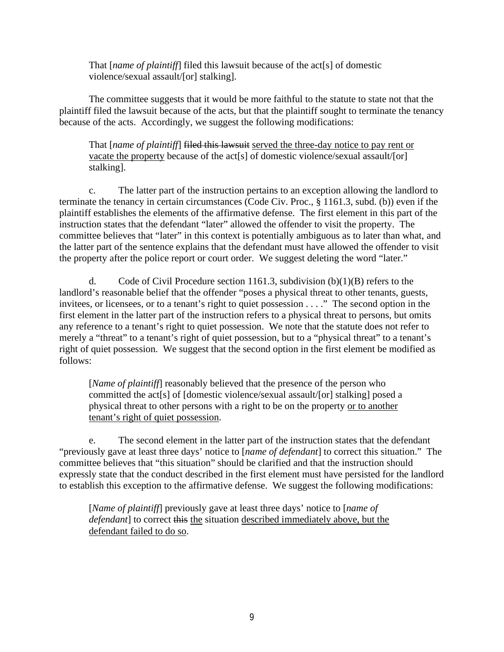That [*name of plaintiff*] filed this lawsuit because of the act[s] of domestic violence/sexual assault/[or] stalking].

The committee suggests that it would be more faithful to the statute to state not that the plaintiff filed the lawsuit because of the acts, but that the plaintiff sought to terminate the tenancy because of the acts. Accordingly, we suggest the following modifications:

That [*name of plaintiff*] filed this lawsuit served the three-day notice to pay rent or vacate the property because of the act[s] of domestic violence/sexual assault/[or] stalking].

c. The latter part of the instruction pertains to an exception allowing the landlord to terminate the tenancy in certain circumstances (Code Civ. Proc., § 1161.3, subd. (b)) even if the plaintiff establishes the elements of the affirmative defense. The first element in this part of the instruction states that the defendant "later" allowed the offender to visit the property. The committee believes that "later" in this context is potentially ambiguous as to later than what, and the latter part of the sentence explains that the defendant must have allowed the offender to visit the property after the police report or court order. We suggest deleting the word "later."

d. Code of Civil Procedure section 1161.3, subdivision  $(b)(1)(B)$  refers to the landlord's reasonable belief that the offender "poses a physical threat to other tenants, guests, invitees, or licensees, or to a tenant's right to quiet possession . . . ." The second option in the first element in the latter part of the instruction refers to a physical threat to persons, but omits any reference to a tenant's right to quiet possession. We note that the statute does not refer to merely a "threat" to a tenant's right of quiet possession, but to a "physical threat" to a tenant's right of quiet possession. We suggest that the second option in the first element be modified as follows:

[*Name of plaintiff*] reasonably believed that the presence of the person who committed the act[s] of [domestic violence/sexual assault/[or] stalking] posed a physical threat to other persons with a right to be on the property or to another tenant's right of quiet possession.

 e. The second element in the latter part of the instruction states that the defendant "previously gave at least three days' notice to [*name of defendant*] to correct this situation." The committee believes that "this situation" should be clarified and that the instruction should expressly state that the conduct described in the first element must have persisted for the landlord to establish this exception to the affirmative defense. We suggest the following modifications:

[*Name of plaintiff*] previously gave at least three days' notice to [*name of defendant*] to correct this the situation described immediately above, but the defendant failed to do so.